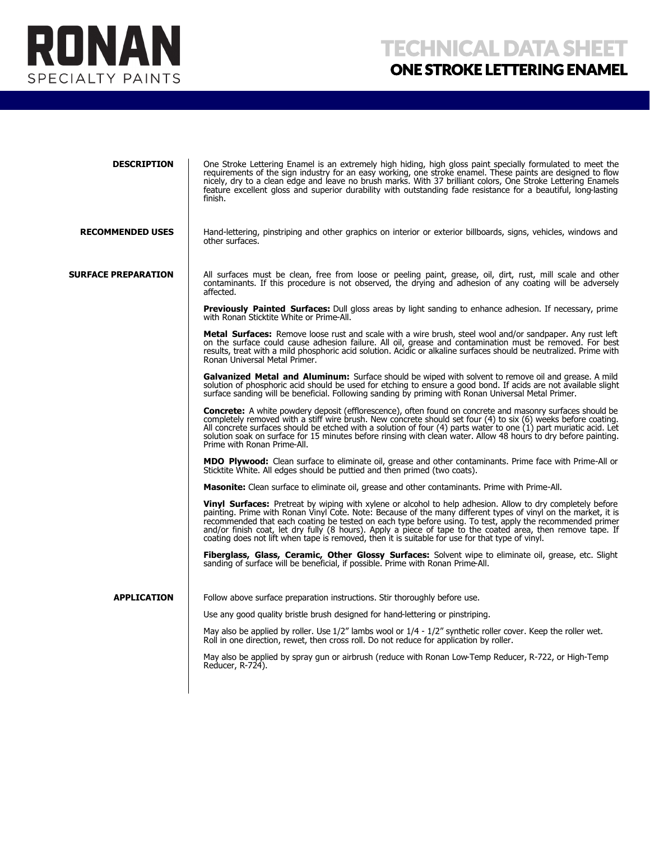

| <b>DESCRIPTION</b>      | One Stroke Lettering Enamel is an extremely high hiding, high gloss paint specially formulated to meet the requirements of the sign industry for an easy working, one stroke enamel. These paints are designed to flow<br>nicely, dry to a clean edge and leave no brush marks. With 37 brilliant colors, One Stroke Lettering Enamels<br>feature excellent gloss and superior durability with outstanding fade resistance for a beautiful, long-lasting<br>finish.                                                                                               |
|-------------------------|-------------------------------------------------------------------------------------------------------------------------------------------------------------------------------------------------------------------------------------------------------------------------------------------------------------------------------------------------------------------------------------------------------------------------------------------------------------------------------------------------------------------------------------------------------------------|
| <b>RECOMMENDED USES</b> | Hand-lettering, pinstriping and other graphics on interior or exterior billboards, signs, vehicles, windows and<br>other surfaces.                                                                                                                                                                                                                                                                                                                                                                                                                                |
| SURFACE PREPARATION     | All surfaces must be clean, free from loose or peeling paint, grease, oil, dirt, rust, mill scale and other<br>contaminants. If this procedure is not observed, the drying and adhesion of any coating will be adversely<br>affected.                                                                                                                                                                                                                                                                                                                             |
|                         | <b>Previously Painted Surfaces:</b> Dull gloss areas by light sanding to enhance adhesion. If necessary, prime<br>with Ronan Sticktite White or Prime-All.                                                                                                                                                                                                                                                                                                                                                                                                        |
|                         | <b>Metal Surfaces:</b> Remove loose rust and scale with a wire brush, steel wool and/or sandpaper. Any rust left<br>on the surface could cause adhesion failure. All oil, grease and contamination must be removed. For best<br>results, treat with a mild phosphoric acid solution. Acidic or alkaline surfaces should be neutralized. Prime with<br>Ronan Universal Metal Primer.                                                                                                                                                                               |
|                         | Galvanized Metal and Aluminum: Surface should be wiped with solvent to remove oil and grease. A mild<br>solution of phosphoric acid should be used for etching to ensure a good bond. If acids are not available slight<br>surface sanding will be beneficial. Following sanding by priming with Ronan Universal Metal Primer.                                                                                                                                                                                                                                    |
|                         | Concrete: A white powdery deposit (efflorescence), often found on concrete and masonry surfaces should be<br>completely removed with a stiff wire brush. New concrete should set four (4) to six (6) weeks before coating.<br>All concrete surfaces should be etched with a solution of four (4) parts water to one (1) part muriatic acid. Let<br>solution soak on surface for 15 minutes before rinsing with clean water. Allow 48 hours to dry before painting.<br>Prime with Ronan Prime-All.                                                                 |
|                         | MDO Plywood: Clean surface to eliminate oil, grease and other contaminants. Prime face with Prime-All or<br>Sticktite White. All edges should be puttied and then primed (two coats).                                                                                                                                                                                                                                                                                                                                                                             |
|                         | <b>Masonite:</b> Clean surface to eliminate oil, grease and other contaminants. Prime with Prime-All.                                                                                                                                                                                                                                                                                                                                                                                                                                                             |
|                         | <b>Vinyl Surfaces:</b> Pretreat by wiping with xylene or alcohol to help adhesion. Allow to dry completely before<br>painting. Prime with Ronan Vinyl Cote. Note: Because of the many different types of vinyl on the market, it is<br>recommended that each coating be tested on each type before using. To test, apply the recommended primer<br>and/or finish coat, let dry fully (8 hours). Apply a piece of tape to the coated area, then remove tape. If<br>coating does not lift when tape is removed, then it is suitable for use for that type of vinyl. |
|                         | Fiberglass, Glass, Ceramic, Other Glossy Surfaces: Solvent wipe to eliminate oil, grease, etc. Slight sanding of surface will be beneficial, if possible. Prime with Ronan Prime-All.                                                                                                                                                                                                                                                                                                                                                                             |
| <b>APPLICATION</b>      | Follow above surface preparation instructions. Stir thoroughly before use.                                                                                                                                                                                                                                                                                                                                                                                                                                                                                        |
|                         | Use any good quality bristle brush designed for hand-lettering or pinstriping.                                                                                                                                                                                                                                                                                                                                                                                                                                                                                    |
|                         | May also be applied by roller. Use 1/2" lambs wool or 1/4 - 1/2" synthetic roller cover. Keep the roller wet.<br>Roll in one direction, rewet, then cross roll. Do not reduce for application by roller.                                                                                                                                                                                                                                                                                                                                                          |
|                         | May also be applied by spray gun or airbrush (reduce with Ronan Low-Temp Reducer, R-722, or High-Temp<br>Reducer, R-724).                                                                                                                                                                                                                                                                                                                                                                                                                                         |
|                         |                                                                                                                                                                                                                                                                                                                                                                                                                                                                                                                                                                   |